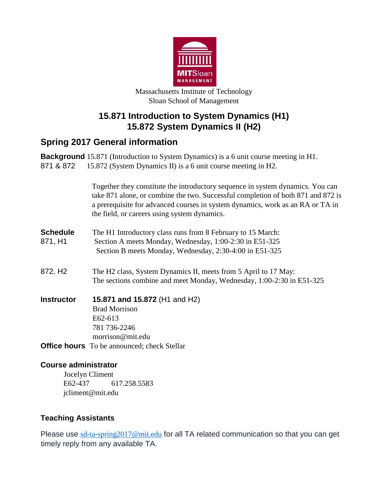

Massachusetts Institute of Technology Sloan School of Management

## **15.871 Introduction to System Dynamics (H1) 15.872 System Dynamics II (H2)**

# **Spring 2017 General information**

|                             | <b>Background</b> 15.871 (Introduction to System Dynamics) is a 6 unit course meeting in H1.                                                                                                                                                                                                         |
|-----------------------------|------------------------------------------------------------------------------------------------------------------------------------------------------------------------------------------------------------------------------------------------------------------------------------------------------|
| 871 & 872                   | 15.872 (System Dynamics II) is a 6 unit course meeting in H2.                                                                                                                                                                                                                                        |
|                             | Together they constitute the introductory sequence in system dynamics. You can<br>take 871 alone, or combine the two. Successful completion of both 871 and 872 is<br>a prerequisite for advanced courses in system dynamics, work as an RA or TA in<br>the field, or careers using system dynamics. |
| <b>Schedule</b><br>871, H1  | The H1 Introductory class runs from 8 February to 15 March:<br>Section A meets Monday, Wednesday, 1:00-2:30 in E51-325<br>Section B meets Monday, Wednesday, 2:30-4:00 in E51-325                                                                                                                    |
| 872, H <sub>2</sub>         | The H2 class, System Dynamics II, meets from 5 April to 17 May:<br>The sections combine and meet Monday, Wednesday, 1:00-2:30 in E51-325                                                                                                                                                             |
| <b>Instructor</b>           | 15.871 and 15.872 (H1 and H2)<br><b>Brad Morrison</b><br>E62-613<br>781 736-2246<br>morrison@mit.edu                                                                                                                                                                                                 |
|                             | <b>Office hours</b> To be announced; check Stellar                                                                                                                                                                                                                                                   |
| <b>Course administrator</b> | <b>Iocelyn Climent</b>                                                                                                                                                                                                                                                                               |

Jocelyn Climent E62-437 617.258.5583 jcliment@mit.edu

### **Teaching Assistants**

Please use [sd-ta-spring2017@mit.edu](mailto:sd-ta-spring2017@mit.edu) for all TA related communication so that you can get timely reply from any available TA.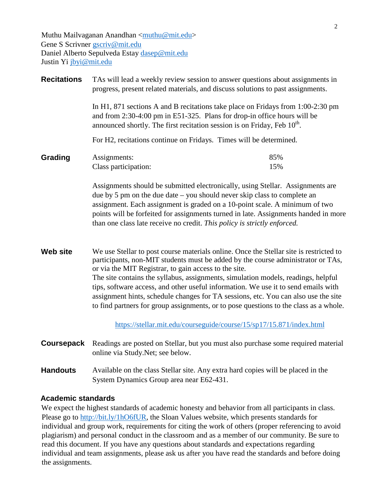Muthu Mailvaganan Anandhan  $\langle \text{muthu@mit.edu} \rangle$ Gene S Scrivner [gscriv@mit.edu](mailto:gscriv@mit.edu) Daniel Alberto Sepulveda Estay [dasep@mit.edu](mailto:dasep@mit.edu) Justin Yi [jbyi@mit.edu](mailto:jbyi@mit.edu)

| <b>Recitations</b> | TAs will lead a weekly review session to answer questions about assignments in<br>progress, present related materials, and discuss solutions to past assignments.<br>In H1, 871 sections A and B recitations take place on Fridays from 1:00-2:30 pm<br>and from 2:30-4:00 pm in E51-325. Plans for drop-in office hours will be<br>announced shortly. The first recitation session is on Friday, Feb 10 <sup>th</sup> .                                                                                                                                                                      |            |  |  |  |
|--------------------|-----------------------------------------------------------------------------------------------------------------------------------------------------------------------------------------------------------------------------------------------------------------------------------------------------------------------------------------------------------------------------------------------------------------------------------------------------------------------------------------------------------------------------------------------------------------------------------------------|------------|--|--|--|
|                    |                                                                                                                                                                                                                                                                                                                                                                                                                                                                                                                                                                                               |            |  |  |  |
|                    | For H2, recitations continue on Fridays. Times will be determined.                                                                                                                                                                                                                                                                                                                                                                                                                                                                                                                            |            |  |  |  |
| Grading            | Assignments:<br>Class participation:                                                                                                                                                                                                                                                                                                                                                                                                                                                                                                                                                          | 85%<br>15% |  |  |  |
|                    | Assignments should be submitted electronically, using Stellar. Assignments are<br>due by $5 \text{ pm}$ on the due date $-$ you should never skip class to complete an<br>assignment. Each assignment is graded on a 10-point scale. A minimum of two<br>points will be forfeited for assignments turned in late. Assignments handed in more<br>than one class late receive no credit. This policy is strictly enforced.                                                                                                                                                                      |            |  |  |  |
| <b>Web site</b>    | We use Stellar to post course materials online. Once the Stellar site is restricted to<br>participants, non-MIT students must be added by the course administrator or TAs,<br>or via the MIT Registrar, to gain access to the site.<br>The site contains the syllabus, assignments, simulation models, readings, helpful<br>tips, software access, and other useful information. We use it to send emails with<br>assignment hints, schedule changes for TA sessions, etc. You can also use the site<br>to find partners for group assignments, or to pose questions to the class as a whole. |            |  |  |  |
|                    | https://stellar.mit.edu/courseguide/course/15/sp17/15.871/index.html                                                                                                                                                                                                                                                                                                                                                                                                                                                                                                                          |            |  |  |  |
| Coursepack         | Readings are posted on Stellar, but you must also purchase some required material<br>online via Study.Net; see below.                                                                                                                                                                                                                                                                                                                                                                                                                                                                         |            |  |  |  |
| <b>Handouts</b>    | Available on the class Stellar site. Any extra hard copies will be placed in the                                                                                                                                                                                                                                                                                                                                                                                                                                                                                                              |            |  |  |  |

#### **Academic standards**

We expect the highest standards of academic honesty and behavior from all participants in class. Please go to [http://bit.ly/1hO6fUR,](http://bit.ly/1hO6fUR) the Sloan Values website, which presents standards for individual and group work, requirements for citing the work of others (proper referencing to avoid plagiarism) and personal conduct in the classroom and as a member of our community. Be sure to read this document. If you have any questions about standards and expectations regarding individual and team assignments, please ask us after you have read the standards and before doing the assignments.

System Dynamics Group area near E62-431.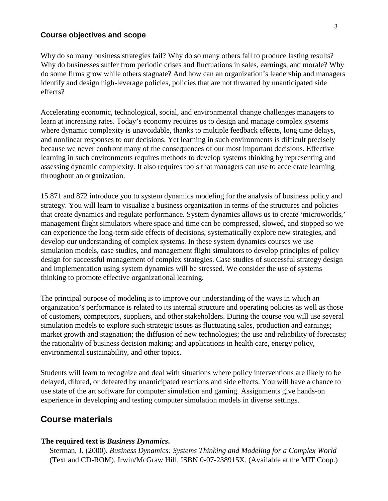#### **Course objectives and scope**

Why do so many business strategies fail? Why do so many others fail to produce lasting results? Why do businesses suffer from periodic crises and fluctuations in sales, earnings, and morale? Why do some firms grow while others stagnate? And how can an organization's leadership and managers identify and design high-leverage policies, policies that are not thwarted by unanticipated side effects?

Accelerating economic, technological, social, and environmental change challenges managers to learn at increasing rates. Today's economy requires us to design and manage complex systems where dynamic complexity is unavoidable, thanks to multiple feedback effects, long time delays, and nonlinear responses to our decisions. Yet learning in such environments is difficult precisely because we never confront many of the consequences of our most important decisions. Effective learning in such environments requires methods to develop systems thinking by representing and assessing dynamic complexity. It also requires tools that managers can use to accelerate learning throughout an organization.

15.871 and 872 introduce you to system dynamics modeling for the analysis of business policy and strategy. You will learn to visualize a business organization in terms of the structures and policies that create dynamics and regulate performance. System dynamics allows us to create 'microworlds,' management flight simulators where space and time can be compressed, slowed, and stopped so we can experience the long-term side effects of decisions, systematically explore new strategies, and develop our understanding of complex systems. In these system dynamics courses we use simulation models, case studies, and management flight simulators to develop principles of policy design for successful management of complex strategies. Case studies of successful strategy design and implementation using system dynamics will be stressed. We consider the use of systems thinking to promote effective organizational learning.

The principal purpose of modeling is to improve our understanding of the ways in which an organization's performance is related to its internal structure and operating policies as well as those of customers, competitors, suppliers, and other stakeholders. During the course you will use several simulation models to explore such strategic issues as fluctuating sales, production and earnings; market growth and stagnation; the diffusion of new technologies; the use and reliability of forecasts; the rationality of business decision making; and applications in health care, energy policy, environmental sustainability, and other topics.

Students will learn to recognize and deal with situations where policy interventions are likely to be delayed, diluted, or defeated by unanticipated reactions and side effects. You will have a chance to use state of the art software for computer simulation and gaming. Assignments give hands-on experience in developing and testing computer simulation models in diverse settings.

#### **Course materials**

#### **The required text is** *Business Dynamics***.**

Sterman, J. (2000). *Business Dynamics: Systems Thinking and Modeling for a Complex World* (Text and CD-ROM). Irwin/McGraw Hill. ISBN 0-07-238915X. (Available at the MIT Coop.)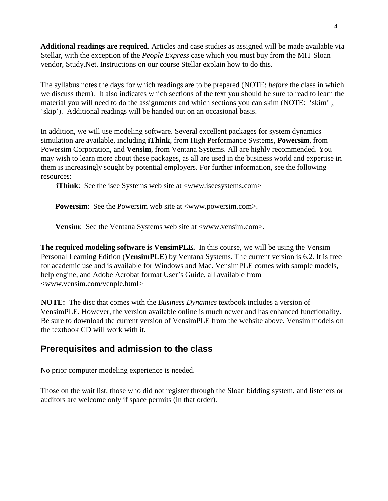**Additional readings are required**. Articles and case studies as assigned will be made available via Stellar, with the exception of the *People Express* case which you must buy from the MIT Sloan vendor, Study.Net. Instructions on our course Stellar explain how to do this.

The syllabus notes the days for which readings are to be prepared (NOTE: *before* the class in which we discuss them). It also indicates which sections of the text you should be sure to read to learn the material you will need to do the assignments and which sections you can skim (NOTE: 'skim'  $_{\neq}$ 'skip'). Additional readings will be handed out on an occasional basis.

In addition, we will use modeling software. Several excellent packages for system dynamics simulation are available, including **iThink**, from High Performance Systems, **Powersim**, from Powersim Corporation, and **Vensim**, from Ventana Systems. All are highly recommended. You may wish to learn more about these packages, as all are used in the business world and expertise in them is increasingly sought by potential employers. For further information, see the following resources:

**iThink**: See the isee Systems web site at [<www.iseesystems.com>](http://www.iseesystems.com/)

**Powersim**: See the Powersim web site at [<www.powersim.com>.](http://www.powersim.com/)

**Vensim**: See the Ventana Systems web site at [<www.vensim.com>.](http://www.vensim.com/)

**The required modeling software is VensimPLE.** In this course, we will be using the Vensim Personal Learning Edition (**VensimPLE**) by Ventana Systems. The current version is 6.2. It is free for academic use and is available for Windows and Mac. VensimPLE comes with sample models, help engine, and Adobe Acrobat format User's Guide, all available from [<www.vensim.com/venple.html>](http://www.vensim.com/venple.html)

**NOTE:** The disc that comes with the *Business Dynamics* textbook includes a version of VensimPLE. However, the version available online is much newer and has enhanced functionality. Be sure to download the current version of VensimPLE from the website above. Vensim models on the textbook CD will work with it.

### **Prerequisites and admission to the class**

No prior computer modeling experience is needed.

Those on the wait list, those who did not register through the Sloan bidding system, and listeners or auditors are welcome only if space permits (in that order).